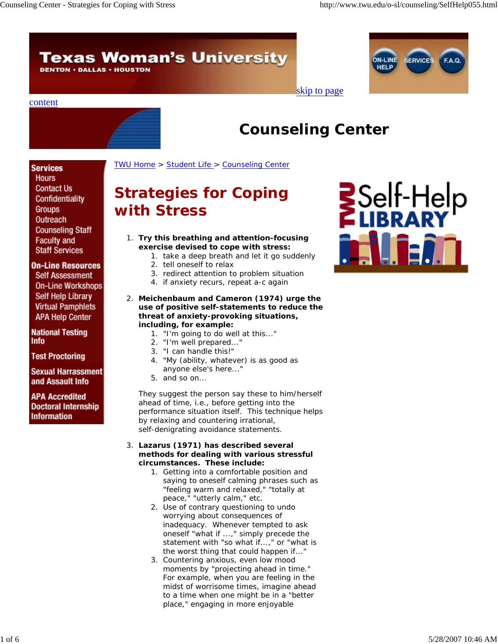# **Texas Woman's University**

**DENTON · DALLAS · HOUSTON** 



## skip to page

## content



# **Counseling Center**

TWU Home > Student Life > Counseling Center

## **Services**

**Hours Contact Us** Confidentiality Groups Outreach **Counseling Staff Faculty and Staff Services** 

## **On-Line Resources**

**Self Assessment On-Line Workshops** Self Help Library **Virtual Pamphlets APA Help Center** 

**National Testing Info** 

**Test Proctoring** 

**Sexual Harrassment** and Assault Info

**APA Accredited Doctoral Internship** Information

# **Strategies for Coping with Stress**

- **Try this breathing and attention-focusing**  1. **exercise devised to cope with stress:**
	- 1. take a deep breath and let it go suddenly
	- 2. tell oneself to relax
	- 3. redirect attention to problem situation
	- 4. if anxiety recurs, repeat a-c again
- **Meichenbaum and Cameron (1974) urge the**  2. **use of positive self-statements to reduce the threat of anxiety-provoking situations, including, for example:**
	- 1. "I'm going to do well at this..."
	- 2. "I'm well prepared..."
	- 3. "I can handle this!"
	- 4. "My (ability, whatever) is as good as anyone else's here..."
	- 5. and so on...

They suggest the person say these to him/herself ahead of time, i.e., before getting into the performance situation itself. This technique helps by relaxing and countering irrational, self-denigrating avoidance statements.

## **Lazarus (1971) has described several**  3.**methods for dealing with various stressful circumstances. These include:**

- 1. Getting into a comfortable position and saying to oneself calming phrases such as "feeling warm and relaxed," "totally at peace," "utterly calm," etc.
- 2. Use of contrary questioning to undo worrying about consequences of inadequacy. Whenever tempted to ask oneself "what if ...," simply precede the statement with "so what if...," or "what is the worst thing that could happen if..."
- 3. Countering anxious, even low mood moments by "projecting ahead in time." For example, when you are feeling in the midst of worrisome times, imagine ahead to a time when one might be in a "better place," engaging in more enjoyable

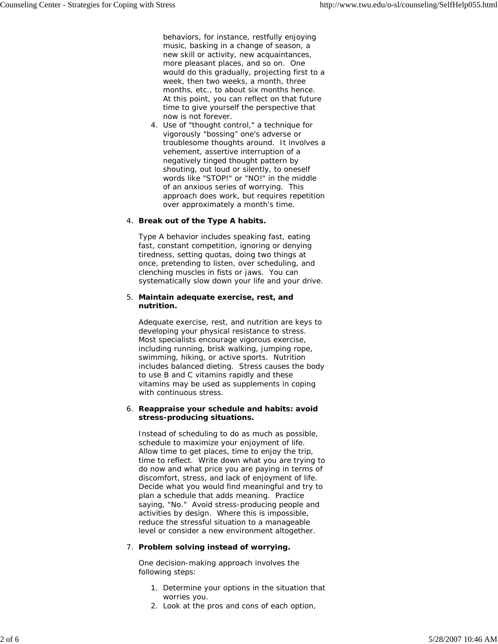behaviors, for instance, restfully enjoying music, basking in a change of season, a new skill or activity, new acquaintances, more pleasant places, and so on. One would do this gradually, projecting first to a week, then two weeks, a month, three months, etc., to about six months hence. At this point, you can reflect on that future time to give yourself the perspective that now is not forever.

4. Use of "thought control," a technique for vigorously "bossing" one's adverse or troublesome thoughts around. It involves a vehement, assertive interruption of a negatively tinged thought pattern by shouting, out loud or silently, to oneself words like "STOP!" or "NO!" in the middle of an anxious series of worrying. This approach does work, but requires repetition over approximately a month's time.

## **Break out of the Type A habits.** 4.

Type A behavior includes speaking fast, eating fast, constant competition, ignoring or denying tiredness, setting quotas, doing two things at once, pretending to listen, over scheduling, and clenching muscles in fists or jaws. You can systematically slow down your life and your drive.

#### **Maintain adequate exercise, rest, and**  5. **nutrition.**

Adequate exercise, rest, and nutrition are keys to developing your physical resistance to stress. Most specialists encourage vigorous exercise, including running, brisk walking, jumping rope, swimming, hiking, or active sports. Nutrition includes balanced dieting. Stress causes the body to use B and C vitamins rapidly and these vitamins may be used as supplements in coping with continuous stress.

### **Reappraise your schedule and habits: avoid**  6. **stress-producing situations.**

Instead of scheduling to do as much as possible, schedule to maximize your enjoyment of life. Allow time to get places, time to enjoy the trip, time to reflect. Write down what you are trying to do now and what price you are paying in terms of discomfort, stress, and lack of enjoyment of life. Decide what you would find meaningful and try to plan a schedule that adds meaning. Practice saying, "No." Avoid stress-producing people and activities by design. Where this is impossible, reduce the stressful situation to a manageable level or consider a new environment altogether.

## **Problem solving instead of worrying.** 7.

One decision-making approach involves the following steps:

- 1. Determine your options in the situation that worries you.
- 2. Look at the pros and cons of each option,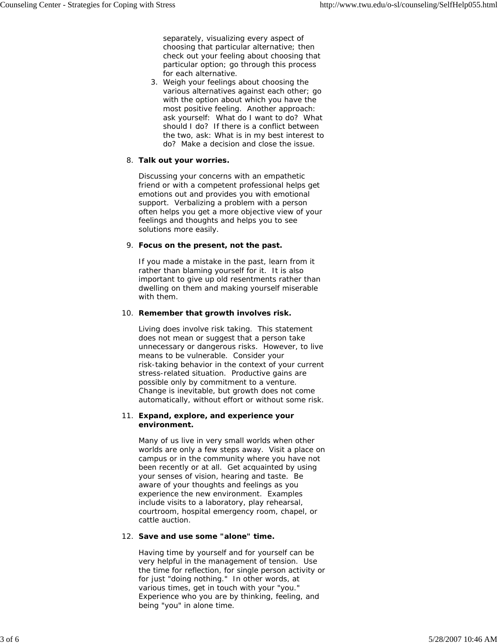separately, visualizing every aspect of choosing that particular alternative; then check out your feeling about choosing that particular option; go through this process for each alternative.

3. Weigh your feelings about choosing the various alternatives against each other; go with the option about which you have the most positive feeling. Another approach: ask yourself: What do I want to do? What should I do? If there is a conflict between the two, ask: What is in my best interest to do? Make a decision and close the issue.

## **Talk out your worries.** 8.

Discussing your concerns with an empathetic friend or with a competent professional helps get emotions out and provides you with emotional support. Verbalizing a problem with a person often helps you get a more objective view of your feelings and thoughts and helps you to see solutions more easily.

## **Focus on the present, not the past.** 9.

If you made a mistake in the past, learn from it rather than blaming yourself for it. It is also important to give up old resentments rather than dwelling on them and making yourself miserable with them.

## 10. Remember that growth involves risk.

Living does involve risk taking. This statement does not mean or suggest that a person take unnecessary or dangerous risks. However, to live means to be vulnerable. Consider your risk-taking behavior in the context of your current stress-related situation. Productive gains are possible only by commitment to a venture. Change is inevitable, but growth does not come automatically, without effort or without some risk.

## **Expand, explore, and experience your**  11. **environment.**

Many of us live in very small worlds when other worlds are only a few steps away. Visit a place on campus or in the community where you have not been recently or at all. Get acquainted by using your senses of vision, hearing and taste. Be aware of your thoughts and feelings as you experience the new environment. Examples include visits to a laboratory, play rehearsal, courtroom, hospital emergency room, chapel, or cattle auction.

## **Save and use some "alone" time.**  12.

Having time by yourself and for yourself can be very helpful in the management of tension. Use the time for reflection, for single person activity or for just "doing nothing." In other words, at various times, get in touch with your "you." Experience who you are by thinking, feeling, and being "you" in alone time.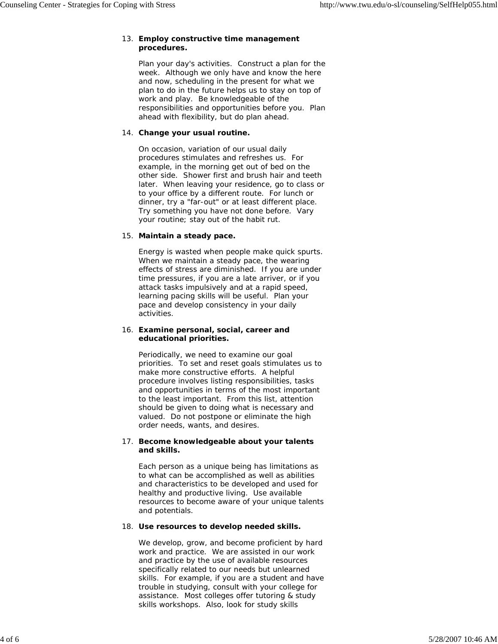## **Employ constructive time management**  13. **procedures.**

Plan your day's activities. Construct a plan for the week. Although we only have and know the here and now, scheduling in the present for what we plan to do in the future helps us to stay on top of work and play. Be knowledgeable of the responsibilities and opportunities before you. Plan ahead with flexibility, but do plan ahead.

## **Change your usual routine.**  14.

On occasion, variation of our usual daily procedures stimulates and refreshes us. For example, in the morning get out of bed on the other side. Shower first and brush hair and teeth later. When leaving your residence, go to class or to your office by a different route. For lunch or dinner, try a "far-out" or at least different place. Try something you have not done before. Vary your routine; stay out of the habit rut.

## **Maintain a steady pace.** 15.

Energy is wasted when people make quick spurts. When we maintain a steady pace, the wearing effects of stress are diminished. If you are under time pressures, if you are a late arriver, or if you attack tasks impulsively and at a rapid speed, learning pacing skills will be useful. Plan your pace and develop consistency in your daily activities.

## **Examine personal, social, career and**  16. **educational priorities.**

Periodically, we need to examine our goal priorities. To set and reset goals stimulates us to make more constructive efforts. A helpful procedure involves listing responsibilities, tasks and opportunities in terms of the most important to the least important. From this list, attention should be given to doing what is necessary and valued. Do not postpone or eliminate the high order needs, wants, and desires.

## **Become knowledgeable about your talents**  17. **and skills.**

Each person as a unique being has limitations as to what can be accomplished as well as abilities and characteristics to be developed and used for healthy and productive living. Use available resources to become aware of your unique talents and potentials.

## **Use resources to develop needed skills.** 18.

We develop, grow, and become proficient by hard work and practice. We are assisted in our work and practice by the use of available resources specifically related to our needs but unlearned skills. For example, if you are a student and have trouble in studying, consult with your college for assistance. Most colleges offer tutoring & study skills workshops. Also, look for study skills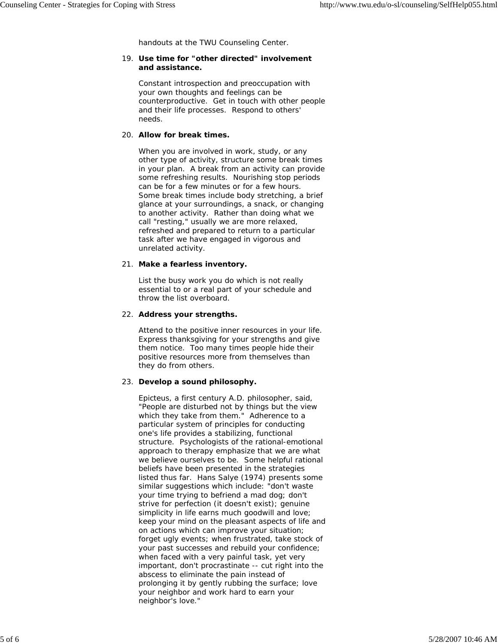handouts at the TWU Counseling Center.

### **Use time for "other directed" involvement**  19. **and assistance.**

Constant introspection and preoccupation with your own thoughts and feelings can be counterproductive. Get in touch with other people and their life processes. Respond to others' needs.

### **Allow for break times.** 20.

When you are involved in work, study, or any other type of activity, structure some break times in your plan. A break from an activity can provide some refreshing results. Nourishing stop periods can be for a few minutes or for a few hours. Some break times include body stretching, a brief glance at your surroundings, a snack, or changing to another activity. Rather than doing what we call "resting," usually we are more relaxed, refreshed and prepared to return to a particular task after we have engaged in vigorous and unrelated activity.

## **Make a fearless inventory.** 21.

List the busy work you do which is not really essential to or a real part of your schedule and throw the list overboard.

## **Address your strengths.** 22.

Attend to the positive inner resources in your life. Express thanksgiving for your strengths and give them notice. Too many times people hide their positive resources more from themselves than they do from others.

## **Develop a sound philosophy.** 23.

Epicteus, a first century A.D. philosopher, said, "People are disturbed not by things but the view which they take from them." Adherence to a particular system of principles for conducting one's life provides a stabilizing, functional structure. Psychologists of the rational-emotional approach to therapy emphasize that we are what we believe ourselves to be. Some helpful rational beliefs have been presented in the strategies listed thus far. Hans Salye (1974) presents some similar suggestions which include: "don't waste your time trying to befriend a mad dog; don't strive for perfection (it doesn't exist); genuine simplicity in life earns much goodwill and love; keep your mind on the pleasant aspects of life and on actions which can improve your situation; forget ugly events; when frustrated, take stock of your past successes and rebuild your confidence; when faced with a very painful task, yet very important, don't procrastinate -- cut right into the abscess to eliminate the pain instead of prolonging it by gently rubbing the surface; love your neighbor and work hard to earn your neighbor's love."